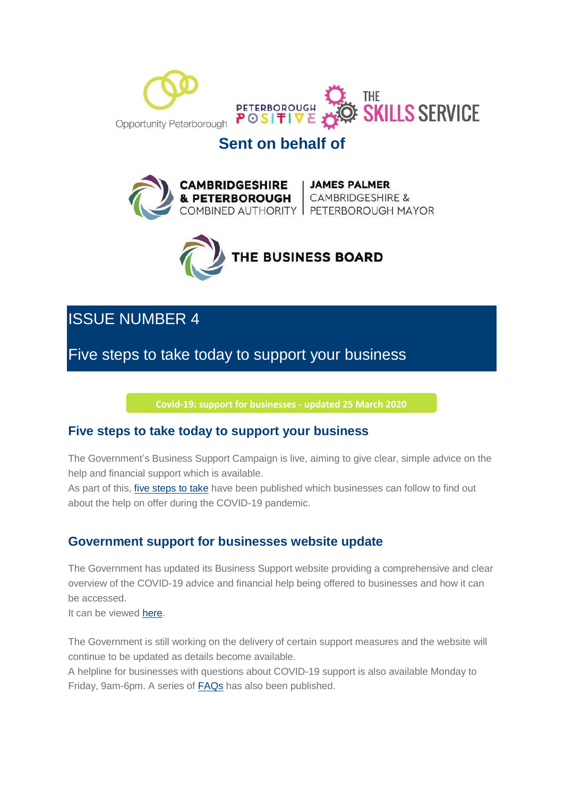



# **Sent on behalf of**





# ISSUE NUMBER 4

Five steps to take today to support your business

**Covid-19: support for [businesses](https://mills.cmail20.com/t/d-l-mjhiyn-jhudhyduuk-r/) - updated 25 March 2020**

### **Five steps to take today to support your business**

The Government's Business Support Campaign is live, aiming to give clear, simple advice on the help and financial support which is available.

As part of this, five [steps](https://mills.cmail20.com/t/d-l-mjhiyn-jhudhyduuk-y/) to take have been published which businesses can follow to find out about the help on offer during the COVID-19 pandemic.

### **Government support for businesses website update**

The Government has updated its Business Support website providing a comprehensive and clear overview of the COVID-19 advice and financial help being offered to businesses and how it can be accessed.

It can be viewed [here.](https://mills.cmail20.com/t/d-l-mjhiyn-jhudhyduuk-j/)

The Government is still working on the delivery of certain support measures and the website will continue to be updated as details become available.

A helpline for businesses with questions about COVID-19 support is also available Monday to Friday, 9am-6pm. A series of **FAQs** has also been published.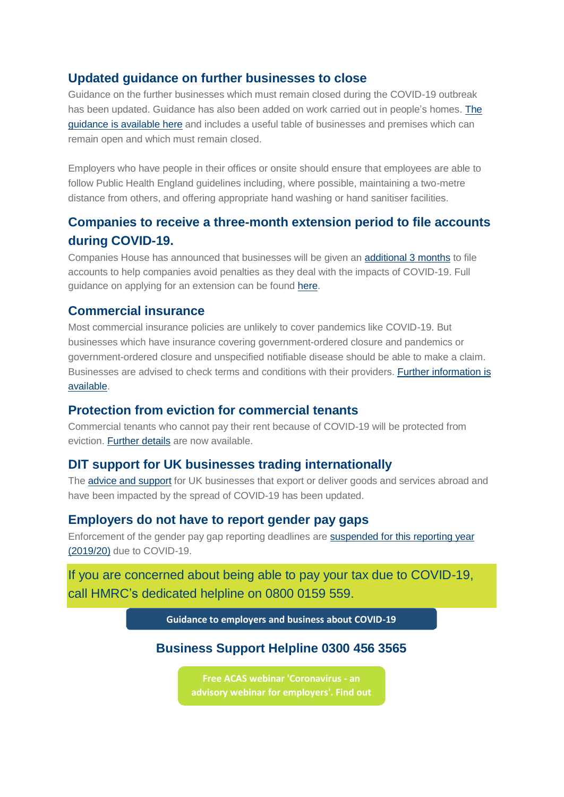#### **Updated guidance on further businesses to close**

Guidance on the further businesses which must remain closed during the COVID-19 outbreak has been updated. Guidance has also been added on work carried out in people's homes. [The](https://mills.cmail20.com/t/d-l-mjhiyn-jhudhyduuk-i/) [guidance](https://mills.cmail20.com/t/d-l-mjhiyn-jhudhyduuk-i/) is available here and includes a useful table of businesses and premises which can remain open and which must remain closed.

Employers who have people in their offices or onsite should ensure that employees are able to follow Public Health England guidelines including, where possible, maintaining a two-metre distance from others, and offering appropriate hand washing or hand sanitiser facilities.

## **Companies to receive a three-month extension period to file accounts during COVID-19.**

Companies House has announced that businesses will be given an [additional](https://mills.cmail20.com/t/d-l-mjhiyn-jhudhyduuk-d/) 3 months to file accounts to help companies avoid penalties as they deal with the impacts of COVID-19. Full guidance on applying for an extension can be found [here.](https://mills.cmail20.com/t/d-l-mjhiyn-jhudhyduuk-h/)

#### **Commercial insurance**

Most commercial insurance policies are unlikely to cover pandemics like COVID-19. But businesses which have insurance covering government-ordered closure and pandemics or government-ordered closure and unspecified notifiable disease should be able to make a claim. Businesses are advised to check terms and conditions with their providers. Further [information is](https://mills.cmail20.com/t/d-l-mjhiyn-jhudhyduuk-k/) [available.](https://mills.cmail20.com/t/d-l-mjhiyn-jhudhyduuk-k/)

### **Protection from eviction for commercial tenants**

Commercial tenants who cannot pay their rent because of COVID-19 will be protected from eviction. [Further](https://mills.cmail20.com/t/d-l-mjhiyn-jhudhyduuk-u/) details are now available.

#### **DIT support for UK businesses trading internationally**

The **advice and [support](https://mills.cmail20.com/t/d-l-mjhiyn-jhudhyduuk-o/)** for UK businesses that export or deliver goods and services abroad and have been impacted by the spread of COVID-19 has been updated.

#### **Employers do not have to report gender pay gaps**

Enforcement of the gender pay gap reporting deadlines are suspended for this [reporting year](https://mills.cmail20.com/t/d-l-mjhiyn-jhudhyduuk-b/) [\(2019/20\)](https://mills.cmail20.com/t/d-l-mjhiyn-jhudhyduuk-b/) due to COVID-19.

If you are concerned about being able to pay your tax due to COVID-19, call HMRC's dedicated helpline on 0800 0159 559.

**Guidance to [employers](https://mills.cmail20.com/t/d-l-mjhiyn-jhudhyduuk-n/) and business about COVID-19**

### **Business Support Helpline 0300 456 3565**

**Free [ACAS webinar](https://mills.cmail20.com/t/d-l-mjhiyn-jhudhyduuk-p/) 'Coronavirus - an advisory webinar for employers'. Find out**